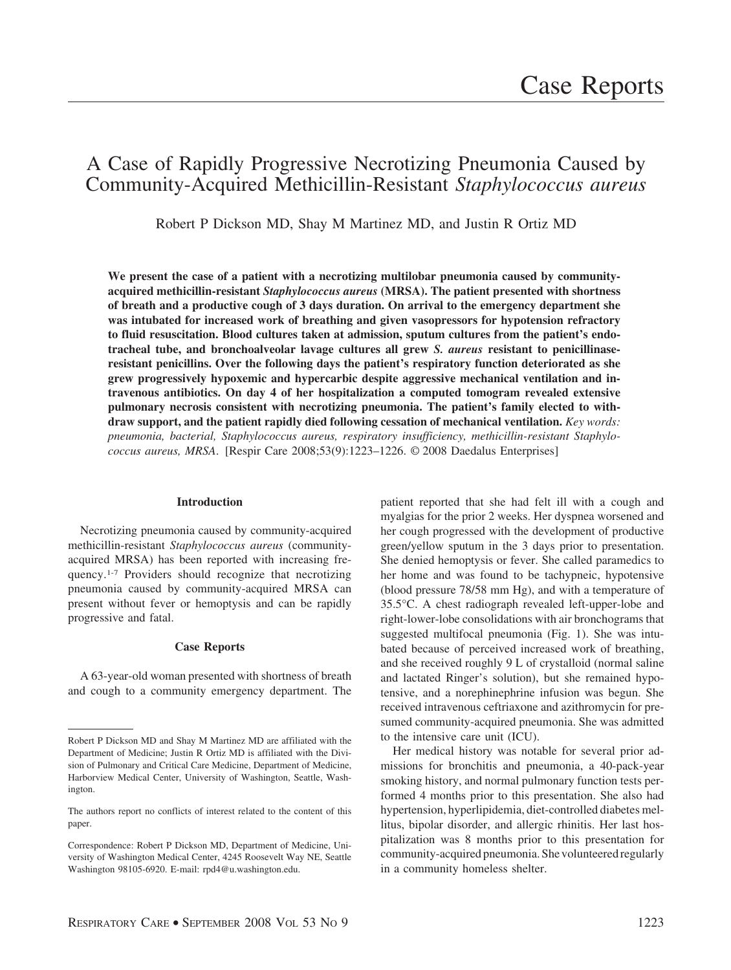# A Case of Rapidly Progressive Necrotizing Pneumonia Caused by Community-Acquired Methicillin-Resistant *Staphylococcus aureus*

Robert P Dickson MD, Shay M Martinez MD, and Justin R Ortiz MD

We present the case of a patient with a necrotizing multilobar pneumonia caused by community**acquired methicillin-resistant** *Staphylococcus aureus* **(MRSA). The patient presented with shortness of breath and a productive cough of 3 days duration. On arrival to the emergency department she was intubated for increased work of breathing and given vasopressors for hypotension refractory to fluid resuscitation. Blood cultures taken at admission, sputum cultures from the patient's endotracheal tube, and bronchoalveolar lavage cultures all grew** *S. aureus* **resistant to penicillinaseresistant penicillins. Over the following days the patient's respiratory function deteriorated as she grew progressively hypoxemic and hypercarbic despite aggressive mechanical ventilation and intravenous antibiotics. On day 4 of her hospitalization a computed tomogram revealed extensive pulmonary necrosis consistent with necrotizing pneumonia. The patient's family elected to withdraw support, and the patient rapidly died following cessation of mechanical ventilation.** *Key words: pneumonia, bacterial, Staphylococcus aureus, respiratory insufficiency, methicillin-resistant Staphylococcus aureus, MRSA*. [Respir Care 2008;53(9):1223–1226. © 2008 Daedalus Enterprises]

## **Introduction**

Necrotizing pneumonia caused by community-acquired methicillin-resistant *Staphylococcus aureus* (communityacquired MRSA) has been reported with increasing frequency.1-7 Providers should recognize that necrotizing pneumonia caused by community-acquired MRSA can present without fever or hemoptysis and can be rapidly progressive and fatal.

# **Case Reports**

A 63-year-old woman presented with shortness of breath and cough to a community emergency department. The patient reported that she had felt ill with a cough and myalgias for the prior 2 weeks. Her dyspnea worsened and her cough progressed with the development of productive green/yellow sputum in the 3 days prior to presentation. She denied hemoptysis or fever. She called paramedics to her home and was found to be tachypneic, hypotensive (blood pressure 78/58 mm Hg), and with a temperature of 35.5°C. A chest radiograph revealed left-upper-lobe and right-lower-lobe consolidations with air bronchograms that suggested multifocal pneumonia (Fig. 1). She was intubated because of perceived increased work of breathing, and she received roughly 9 L of crystalloid (normal saline and lactated Ringer's solution), but she remained hypotensive, and a norephinephrine infusion was begun. She received intravenous ceftriaxone and azithromycin for presumed community-acquired pneumonia. She was admitted to the intensive care unit (ICU).

Her medical history was notable for several prior admissions for bronchitis and pneumonia, a 40-pack-year smoking history, and normal pulmonary function tests performed 4 months prior to this presentation. She also had hypertension, hyperlipidemia, diet-controlled diabetes mellitus, bipolar disorder, and allergic rhinitis. Her last hospitalization was 8 months prior to this presentation for community-acquired pneumonia. She volunteered regularly in a community homeless shelter.

Robert P Dickson MD and Shay M Martinez MD are affiliated with the Department of Medicine; Justin R Ortiz MD is affiliated with the Division of Pulmonary and Critical Care Medicine, Department of Medicine, Harborview Medical Center, University of Washington, Seattle, Washington.

The authors report no conflicts of interest related to the content of this paper.

Correspondence: Robert P Dickson MD, Department of Medicine, University of Washington Medical Center, 4245 Roosevelt Way NE, Seattle Washington 98105-6920. E-mail: rpd4@u.washington.edu.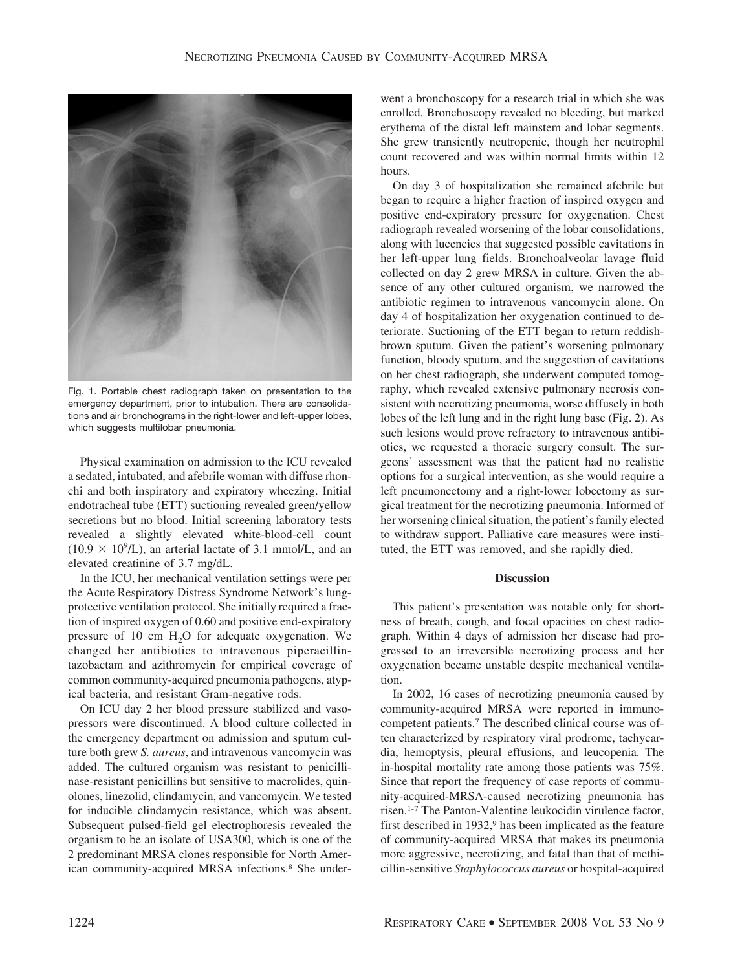

Fig. 1. Portable chest radiograph taken on presentation to the emergency department, prior to intubation. There are consolidations and air bronchograms in the right-lower and left-upper lobes, which suggests multilobar pneumonia.

Physical examination on admission to the ICU revealed a sedated, intubated, and afebrile woman with diffuse rhonchi and both inspiratory and expiratory wheezing. Initial endotracheal tube (ETT) suctioning revealed green/yellow secretions but no blood. Initial screening laboratory tests revealed a slightly elevated white-blood-cell count  $(10.9 \times 10^{9}$ /L), an arterial lactate of 3.1 mmol/L, and an elevated creatinine of 3.7 mg/dL.

In the ICU, her mechanical ventilation settings were per the Acute Respiratory Distress Syndrome Network's lungprotective ventilation protocol. She initially required a fraction of inspired oxygen of 0.60 and positive end-expiratory pressure of 10 cm  $H<sub>2</sub>O$  for adequate oxygenation. We changed her antibiotics to intravenous piperacillintazobactam and azithromycin for empirical coverage of common community-acquired pneumonia pathogens, atypical bacteria, and resistant Gram-negative rods.

On ICU day 2 her blood pressure stabilized and vasopressors were discontinued. A blood culture collected in the emergency department on admission and sputum culture both grew *S. aureus*, and intravenous vancomycin was added. The cultured organism was resistant to penicillinase-resistant penicillins but sensitive to macrolides, quinolones, linezolid, clindamycin, and vancomycin. We tested for inducible clindamycin resistance, which was absent. Subsequent pulsed-field gel electrophoresis revealed the organism to be an isolate of USA300, which is one of the 2 predominant MRSA clones responsible for North American community-acquired MRSA infections.8 She underwent a bronchoscopy for a research trial in which she was enrolled. Bronchoscopy revealed no bleeding, but marked erythema of the distal left mainstem and lobar segments. She grew transiently neutropenic, though her neutrophil count recovered and was within normal limits within 12 hours.

On day 3 of hospitalization she remained afebrile but began to require a higher fraction of inspired oxygen and positive end-expiratory pressure for oxygenation. Chest radiograph revealed worsening of the lobar consolidations, along with lucencies that suggested possible cavitations in her left-upper lung fields. Bronchoalveolar lavage fluid collected on day 2 grew MRSA in culture. Given the absence of any other cultured organism, we narrowed the antibiotic regimen to intravenous vancomycin alone. On day 4 of hospitalization her oxygenation continued to deteriorate. Suctioning of the ETT began to return reddishbrown sputum. Given the patient's worsening pulmonary function, bloody sputum, and the suggestion of cavitations on her chest radiograph, she underwent computed tomography, which revealed extensive pulmonary necrosis consistent with necrotizing pneumonia, worse diffusely in both lobes of the left lung and in the right lung base (Fig. 2). As such lesions would prove refractory to intravenous antibiotics, we requested a thoracic surgery consult. The surgeons' assessment was that the patient had no realistic options for a surgical intervention, as she would require a left pneumonectomy and a right-lower lobectomy as surgical treatment for the necrotizing pneumonia. Informed of her worsening clinical situation, the patient's family elected to withdraw support. Palliative care measures were instituted, the ETT was removed, and she rapidly died.

## **Discussion**

This patient's presentation was notable only for shortness of breath, cough, and focal opacities on chest radiograph. Within 4 days of admission her disease had progressed to an irreversible necrotizing process and her oxygenation became unstable despite mechanical ventilation.

In 2002, 16 cases of necrotizing pneumonia caused by community-acquired MRSA were reported in immunocompetent patients.7 The described clinical course was often characterized by respiratory viral prodrome, tachycardia, hemoptysis, pleural effusions, and leucopenia. The in-hospital mortality rate among those patients was 75%. Since that report the frequency of case reports of community-acquired-MRSA-caused necrotizing pneumonia has risen.1-7 The Panton-Valentine leukocidin virulence factor, first described in 1932,<sup>9</sup> has been implicated as the feature of community-acquired MRSA that makes its pneumonia more aggressive, necrotizing, and fatal than that of methicillin-sensitive *Staphylococcus aureus* or hospital-acquired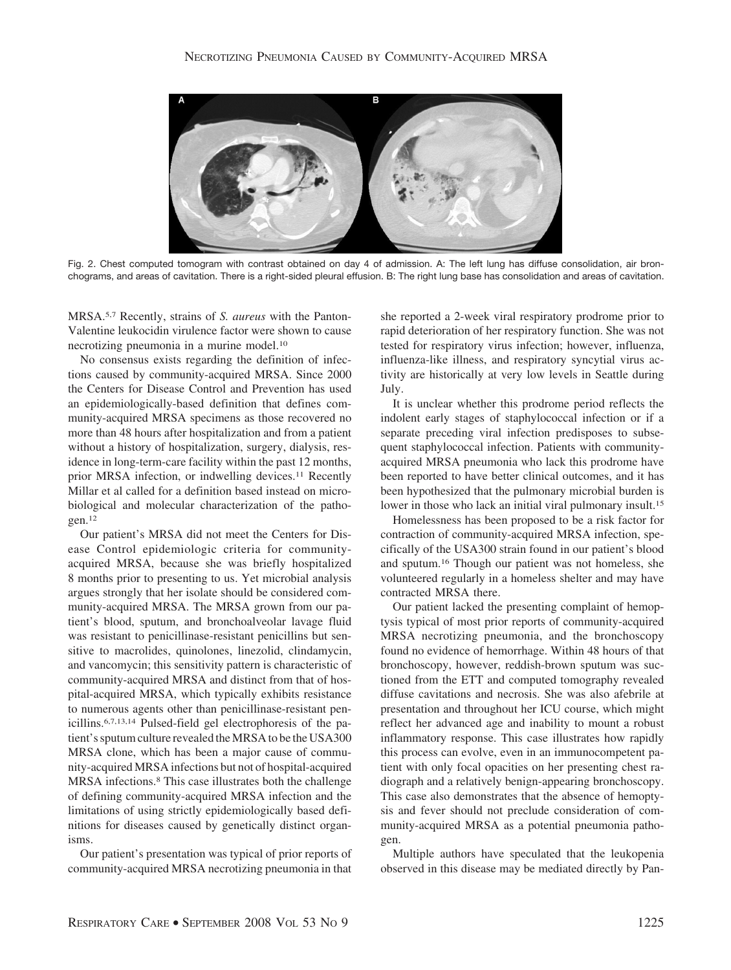

Fig. 2. Chest computed tomogram with contrast obtained on day 4 of admission. A: The left lung has diffuse consolidation, air bronchograms, and areas of cavitation. There is a right-sided pleural effusion. B: The right lung base has consolidation and areas of cavitation.

MRSA.5,7 Recently, strains of *S. aureus* with the Panton-Valentine leukocidin virulence factor were shown to cause necrotizing pneumonia in a murine model.10

No consensus exists regarding the definition of infections caused by community-acquired MRSA. Since 2000 the Centers for Disease Control and Prevention has used an epidemiologically-based definition that defines community-acquired MRSA specimens as those recovered no more than 48 hours after hospitalization and from a patient without a history of hospitalization, surgery, dialysis, residence in long-term-care facility within the past 12 months, prior MRSA infection, or indwelling devices.<sup>11</sup> Recently Millar et al called for a definition based instead on microbiological and molecular characterization of the pathogen.12

Our patient's MRSA did not meet the Centers for Disease Control epidemiologic criteria for communityacquired MRSA, because she was briefly hospitalized 8 months prior to presenting to us. Yet microbial analysis argues strongly that her isolate should be considered community-acquired MRSA. The MRSA grown from our patient's blood, sputum, and bronchoalveolar lavage fluid was resistant to penicillinase-resistant penicillins but sensitive to macrolides, quinolones, linezolid, clindamycin, and vancomycin; this sensitivity pattern is characteristic of community-acquired MRSA and distinct from that of hospital-acquired MRSA, which typically exhibits resistance to numerous agents other than penicillinase-resistant penicillins.6,7,13,14 Pulsed-field gel electrophoresis of the patient's sputum culture revealed theMRSA to be the USA300 MRSA clone, which has been a major cause of community-acquired MRSA infections but not of hospital-acquired MRSA infections.8 This case illustrates both the challenge of defining community-acquired MRSA infection and the limitations of using strictly epidemiologically based definitions for diseases caused by genetically distinct organisms.

Our patient's presentation was typical of prior reports of community-acquired MRSA necrotizing pneumonia in that she reported a 2-week viral respiratory prodrome prior to rapid deterioration of her respiratory function. She was not tested for respiratory virus infection; however, influenza, influenza-like illness, and respiratory syncytial virus activity are historically at very low levels in Seattle during July.

It is unclear whether this prodrome period reflects the indolent early stages of staphylococcal infection or if a separate preceding viral infection predisposes to subsequent staphylococcal infection. Patients with communityacquired MRSA pneumonia who lack this prodrome have been reported to have better clinical outcomes, and it has been hypothesized that the pulmonary microbial burden is lower in those who lack an initial viral pulmonary insult.15

Homelessness has been proposed to be a risk factor for contraction of community-acquired MRSA infection, specifically of the USA300 strain found in our patient's blood and sputum.16 Though our patient was not homeless, she volunteered regularly in a homeless shelter and may have contracted MRSA there.

Our patient lacked the presenting complaint of hemoptysis typical of most prior reports of community-acquired MRSA necrotizing pneumonia, and the bronchoscopy found no evidence of hemorrhage. Within 48 hours of that bronchoscopy, however, reddish-brown sputum was suctioned from the ETT and computed tomography revealed diffuse cavitations and necrosis. She was also afebrile at presentation and throughout her ICU course, which might reflect her advanced age and inability to mount a robust inflammatory response. This case illustrates how rapidly this process can evolve, even in an immunocompetent patient with only focal opacities on her presenting chest radiograph and a relatively benign-appearing bronchoscopy. This case also demonstrates that the absence of hemoptysis and fever should not preclude consideration of community-acquired MRSA as a potential pneumonia pathogen.

Multiple authors have speculated that the leukopenia observed in this disease may be mediated directly by Pan